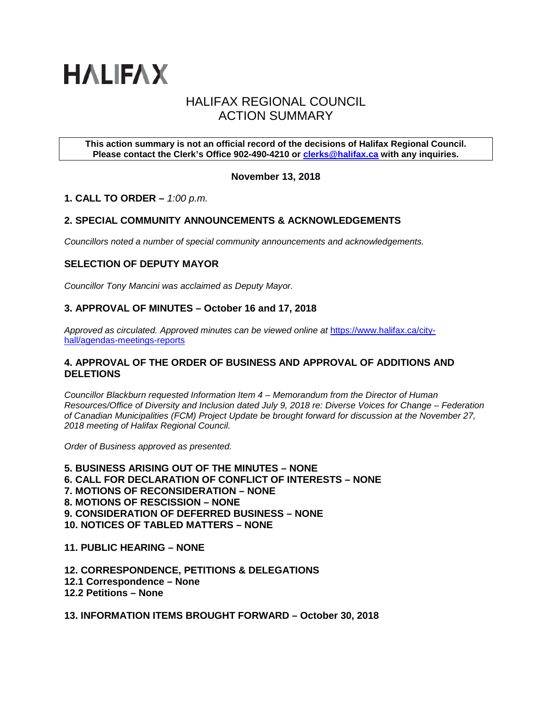

# HALIFAX REGIONAL COUNCIL ACTION SUMMARY

### **This action summary is not an official record of the decisions of Halifax Regional Council. Please contact the Clerk's Office 902-490-4210 or [clerks@halifax.ca](mailto:clerks@halifax.ca) with any inquiries.**

# **November 13, 2018**

# **1. CALL TO ORDER –** *1:00 p.m.*

# **2. SPECIAL COMMUNITY ANNOUNCEMENTS & ACKNOWLEDGEMENTS**

*Councillors noted a number of special community announcements and acknowledgements.*

# **SELECTION OF DEPUTY MAYOR**

*Councillor Tony Mancini was acclaimed as Deputy Mayor.*

### **3. APPROVAL OF MINUTES – October 16 and 17, 2018**

Approved as circulated. Approved minutes can be viewed online at [https://www.halifax.ca/city](https://www.halifax.ca/city-hall/agendas-meetings-reports)[hall/agendas-meetings-reports](https://www.halifax.ca/city-hall/agendas-meetings-reports)

### **4. APPROVAL OF THE ORDER OF BUSINESS AND APPROVAL OF ADDITIONS AND DELETIONS**

*Councillor Blackburn requested Information Item 4 – Memorandum from the Director of Human Resources/Office of Diversity and Inclusion dated July 9, 2018 re: Diverse Voices for Change – Federation of Canadian Municipalities (FCM) Project Update be brought forward for discussion at the November 27, 2018 meeting of Halifax Regional Council.* 

*Order of Business approved as presented.* 

**5. BUSINESS ARISING OUT OF THE MINUTES – NONE 6. CALL FOR DECLARATION OF CONFLICT OF INTERESTS – NONE 7. MOTIONS OF RECONSIDERATION – NONE 8. MOTIONS OF RESCISSION – NONE 9. CONSIDERATION OF DEFERRED BUSINESS – NONE 10. NOTICES OF TABLED MATTERS – NONE**

**11. PUBLIC HEARING – NONE**

**12. CORRESPONDENCE, PETITIONS & DELEGATIONS 12.1 Correspondence – None 12.2 Petitions – None** 

**13. INFORMATION ITEMS BROUGHT FORWARD – October 30, 2018**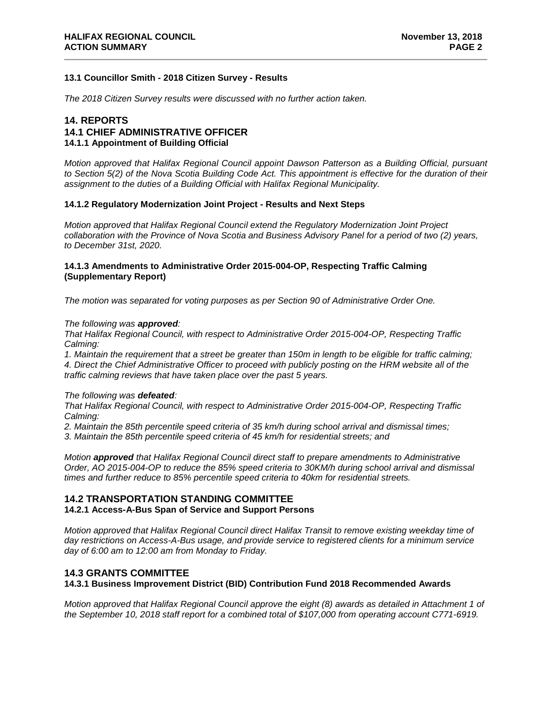### **13.1 Councillor Smith - 2018 Citizen Survey - Results**

*The 2018 Citizen Survey results were discussed with no further action taken.* 

## **14. REPORTS 14.1 CHIEF ADMINISTRATIVE OFFICER 14.1.1 Appointment of Building Official**

*Motion approved that Halifax Regional Council appoint Dawson Patterson as a Building Official, pursuant to Section 5(2) of the Nova Scotia Building Code Act. This appointment is effective for the duration of their assignment to the duties of a Building Official with Halifax Regional Municipality.* 

### **14.1.2 Regulatory Modernization Joint Project - Results and Next Steps**

*Motion approved that Halifax Regional Council extend the Regulatory Modernization Joint Project collaboration with the Province of Nova Scotia and Business Advisory Panel for a period of two (2) years, to December 31st, 2020.* 

### **14.1.3 Amendments to Administrative Order 2015-004-OP, Respecting Traffic Calming (Supplementary Report)**

*The motion was separated for voting purposes as per Section 90 of Administrative Order One.*

### *The following was approved:*

*That Halifax Regional Council, with respect to Administrative Order 2015-004-OP, Respecting Traffic Calming:*

*1. Maintain the requirement that a street be greater than 150m in length to be eligible for traffic calming; 4. Direct the Chief Administrative Officer to proceed with publicly posting on the HRM website all of the traffic calming reviews that have taken place over the past 5 years.*

#### *The following was defeated:*

*That Halifax Regional Council, with respect to Administrative Order 2015-004-OP, Respecting Traffic Calming:*

*2. Maintain the 85th percentile speed criteria of 35 km/h during school arrival and dismissal times;* 

*3. Maintain the 85th percentile speed criteria of 45 km/h for residential streets; and* 

*Motion approved that Halifax Regional Council direct staff to prepare amendments to Administrative Order, AO 2015-004-OP to reduce the 85% speed criteria to 30KM/h during school arrival and dismissal times and further reduce to 85% percentile speed criteria to 40km for residential streets.* 

### **14.2 TRANSPORTATION STANDING COMMITTEE**

**14.2.1 Access-A-Bus Span of Service and Support Persons**

*Motion approved that Halifax Regional Council direct Halifax Transit to remove existing weekday time of day restrictions on Access-A-Bus usage, and provide service to registered clients for a minimum service day of 6:00 am to 12:00 am from Monday to Friday.*

# **14.3 GRANTS COMMITTEE**

### **14.3.1 Business Improvement District (BID) Contribution Fund 2018 Recommended Awards**

*Motion approved that Halifax Regional Council approve the eight (8) awards as detailed in Attachment 1 of the September 10, 2018 staff report for a combined total of \$107,000 from operating account C771-6919.*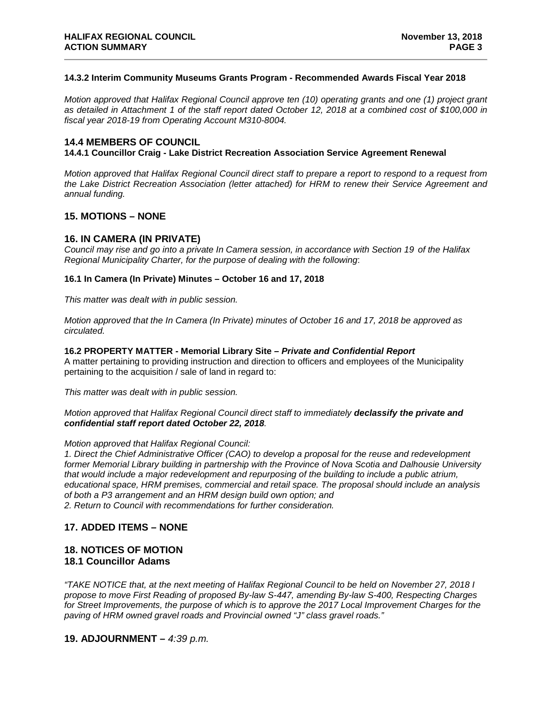### **14.3.2 Interim Community Museums Grants Program - Recommended Awards Fiscal Year 2018**

*Motion approved that Halifax Regional Council approve ten (10) operating grants and one (1) project grant as detailed in Attachment 1 of the staff report dated October 12, 2018 at a combined cost of \$100,000 in fiscal year 2018-19 from Operating Account M310-8004.*

## **14.4 MEMBERS OF COUNCIL**

### **14.4.1 Councillor Craig - Lake District Recreation Association Service Agreement Renewal**

*Motion approved that Halifax Regional Council direct staff to prepare a report to respond to a request from the Lake District Recreation Association (letter attached) for HRM to renew their Service Agreement and annual funding.*

### **15. MOTIONS – NONE**

### **16. IN CAMERA (IN PRIVATE)**

*Council may rise and go into a private In Camera session, in accordance with Section 19 of the Halifax Regional Municipality Charter, for the purpose of dealing with the following*:

### **16.1 In Camera (In Private) Minutes – October 16 and 17, 2018**

*This matter was dealt with in public session.* 

*Motion approved that the In Camera (In Private) minutes of October 16 and 17, 2018 be approved as circulated.*

#### **16.2 PROPERTY MATTER - Memorial Library Site** *– Private and Confidential Report*

A matter pertaining to providing instruction and direction to officers and employees of the Municipality pertaining to the acquisition / sale of land in regard to:

*This matter was dealt with in public session.* 

### *Motion approved that Halifax Regional Council direct staff to immediately declassify the private and confidential staff report dated October 22, 2018.*

#### *Motion approved that Halifax Regional Council:*

*1. Direct the Chief Administrative Officer (CAO) to develop a proposal for the reuse and redevelopment former Memorial Library building in partnership with the Province of Nova Scotia and Dalhousie University that would include a major redevelopment and repurposing of the building to include a public atrium, educational space, HRM premises, commercial and retail space. The proposal should include an analysis of both a P3 arrangement and an HRM design build own option; and 2. Return to Council with recommendations for further consideration.*

# **17. ADDED ITEMS – NONE**

### **18. NOTICES OF MOTION 18.1 Councillor Adams**

*"TAKE NOTICE that, at the next meeting of Halifax Regional Council to be held on November 27, 2018 I propose to move First Reading of proposed By-law S-447, amending By-law S-400, Respecting Charges for Street Improvements, the purpose of which is to approve the 2017 Local Improvement Charges for the paving of HRM owned gravel roads and Provincial owned "J" class gravel roads."*

### **19. ADJOURNMENT –** *4:39 p.m.*